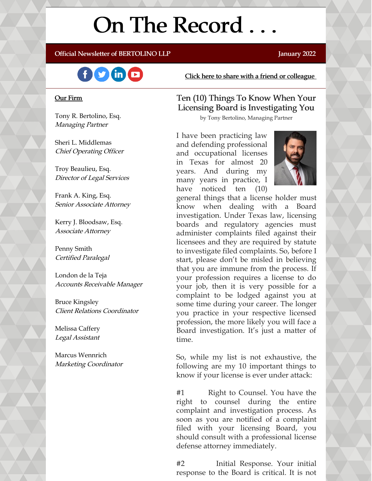# On The Record ...

#### Official Newsletter of BERTOLINO LLP **Fig. 2022** January 2022



#### Our Firm

Tony R. Bertolino, Esq. Managing Partner

Sheri L. Middlemas Chief Operating Officer

Troy Beaulieu, Esq. Director of Legal Services

Frank A. King, Esq. Senior Associate Attorney

Kerry J. Bloodsaw, Esq. Associate Attorney

Penny Smith Certified Paralegal

London de la Teja Accounts Receivable Manager

Bruce Kingsley Client Relations Coordinator

Melissa Caffery Legal Assistant

Marcus Wennrich Marketing Coordinator Click here to share with a friend or [colleague](https://visitor.r20.constantcontact.com/manage/optin?v=001xvcZBIZGArRYZxP_ENhTFsnPqgcrAHF_8FAGh0C6OoU_TYzgqPeo9kiI5F5Vb-xdZP7jClYZWX2ttQp6Q7JygJ1sq0DH9MDHJwjzNoREDc4=)

#### Ten (10) Things To Know When Your Licensing Board is Investigating You

by Tony Bertolino, Managing Partner

I have been practicing law and defending professional and occupational licenses in Texas for almost 20 years. And during my many years in practice, I have noticed ten (10)



general things that a license holder must know when dealing with a Board investigation. Under Texas law, licensing boards and regulatory agencies must administer complaints filed against their licensees and they are required by statute to investigate filed complaints. So, before I start, please don't be misled in believing that you are immune from the process. If your profession requires a license to do your job, then it is very possible for a complaint to be lodged against you at some time during your career. The longer you practice in your respective licensed profession, the more likely you will face a Board investigation. It's just a matter of time.

So, while my list is not exhaustive, the following are my 10 important things to know if your license is ever under attack:

#1 Right to Counsel. You have the right to counsel during the entire complaint and investigation process. As soon as you are notified of a complaint filed with your licensing Board, you should consult with a professional license defense attorney immediately.

#2 Initial Response. Your initial response to the Board is critical. It is not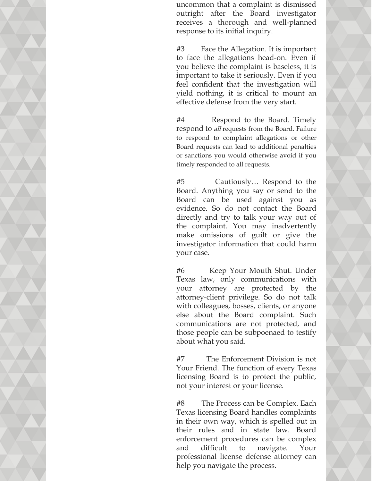uncommon that a complaint is dismissed outright after the Board investigator receives a thorough and well-planned response to its initial inquiry.

#3 Face the Allegation. It is important to face the allegations head-on. Even if you believe the complaint is baseless, it is important to take it seriously. Even if you feel confident that the investigation will yield nothing, it is critical to mount an effective defense from the very start.

#4 Respond to the Board. Timely respond to *all* requests from the Board. Failure to respond to complaint allegations or other Board requests can lead to additional penalties or sanctions you would otherwise avoid if you timely responded to all requests.

#5 Cautiously… Respond to the Board. Anything you say or send to the Board can be used against you as evidence. So do not contact the Board directly and try to talk your way out of the complaint. You may inadvertently make omissions of guilt or give the investigator information that could harm your case.

#6 Keep Your Mouth Shut. Under Texas law, only communications with your attorney are protected by the attorney-client privilege. So do not talk with colleagues, bosses, clients, or anyone else about the Board complaint. Such communications are not protected, and those people can be subpoenaed to testify about what you said.

#7 The Enforcement Division is not Your Friend. The function of every Texas licensing Board is to protect the public, not your interest or your license.

#8 The Process can be Complex. Each Texas licensing Board handles complaints in their own way, which is spelled out in their rules and in state law. Board enforcement procedures can be complex and difficult to navigate. Your professional license defense attorney can help you navigate the process.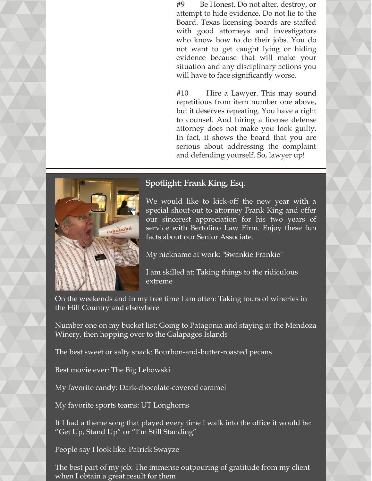#9 Be Honest. Do not alter, destroy, or attempt to hide evidence. Do not lie to the Board. Texas licensing boards are staffed with good attorneys and investigators who know how to do their jobs. You do not want to get caught lying or hiding evidence because that will make your situation and any disciplinary actions you will have to face significantly worse.

#10 Hire a Lawyer. This may sound repetitious from item number one above, but it deserves repeating. You have a right to counsel. And hiring a license defense attorney does not make you look guilty. In fact, it shows the board that you are serious about addressing the complaint and defending yourself. So, lawyer up!



### Spotlight: Frank King, Esq.

We would like to kick-off the new year with a special shout-out to attorney Frank King and offer our sincerest appreciation for his two years of service with Bertolino Law Firm. Enjoy these fun facts about our Senior Associate.

My nickname at work: "Swankie Frankie"

I am skilled at: Taking things to the ridiculous extreme

On the weekends and in my free time I am often: Taking tours of wineries in the Hill Country and elsewhere

Number one on my bucket list: Going to Patagonia and staying at the Mendoza Winery, then hopping over to the Galapagos Islands

The best sweet or salty snack: Bourbon-and-butter-roasted pecans

Best movie ever: The Big Lebowski

My favorite candy: Dark-chocolate-covered caramel

My favorite sports teams: UT Longhorns

If I had a theme song that played every time I walk into the office it would be: "Get Up, Stand Up" or "I'm Still Standing"

People say I look like: Patrick Swayze

The best part of my job: The immense outpouring of gratitude from my client when I obtain a great result for them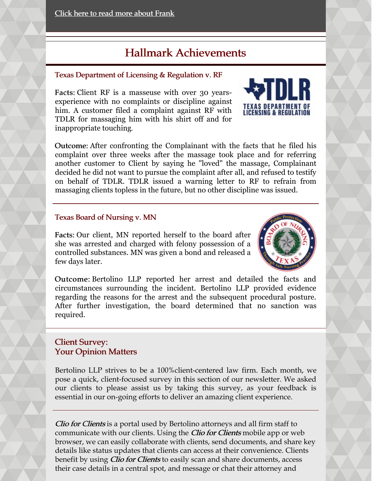# Hallmark Achievements

#### Texas Department of Licensing & Regulation v. RF

Facts: Client RF is a masseuse with over 30 yearsexperience with no complaints or discipline against him. A customer filed a complaint against RF with TDLR for massaging him with his shirt off and for inappropriate touching.



Outcome: After confronting the Complainant with the facts that he filed his complaint over three weeks after the massage took place and for referring another customer to Client by saying he "loved" the massage, Complainant decided he did not want to pursue the complaint after all, and refused to testify on behalf of TDLR. TDLR issued a warning letter to RF to refrain from massaging clients topless in the future, but no other discipline was issued.

#### Texas Board of Nursing v. MN

Facts: Our client, MN reported herself to the board after she was arrested and charged with felony possession of a controlled substances. MN was given a bond and released a few days later.



Outcome: Bertolino LLP reported her arrest and detailed the facts and circumstances surrounding the incident. Bertolino LLP provided evidence regarding the reasons for the arrest and the subsequent procedural posture. After further investigation, the board determined that no sanction was required.

#### Client Survey: Your Opinion Matters

Bertolino LLP strives to be a 100%client-centered law firm. Each month, we pose a quick, client-focused survey in this section of our newsletter. We asked our clients to please assist us by taking this survey, as your feedback is essential in our on-going efforts to deliver an amazing client experience.

Clio for Clients is a portal used by Bertolino attorneys and all firm staff to communicate with our clients. Using the *Clio for Clients* mobile app or web browser, we can easily collaborate with clients, send documents, and share key details like status updates that clients can access at their convenience. Clients benefit by using *Clio for Clients* to easily scan and share documents, access their case details in a central spot, and message or chat their attorney and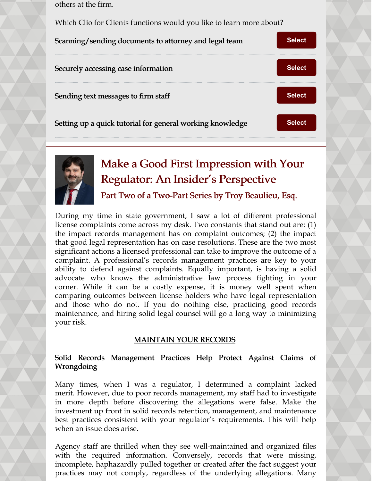others at the firm.

Which Clio for Clients functions would you like to learn more about?





# Make a Good First Impression with Your Regulator: An Insider's Perspective

Part Two of a Two-Part Series by Troy Beaulieu, Esq.

During my time in state government, I saw a lot of different professional license complaints come across my desk. Two constants that stand out are: (1) the impact records management has on complaint outcomes; (2) the impact that good legal representation has on case resolutions. These are the two most significant actions a licensed professional can take to improve the outcome of a complaint. A professional's records management practices are key to your ability to defend against complaints. Equally important, is having a solid advocate who knows the administrative law process fighting in your corner. While it can be a costly expense, it is money well spent when comparing outcomes between license holders who have legal representation and those who do not. If you do nothing else, practicing good records maintenance, and hiring solid legal counsel will go a long way to minimizing your risk.

#### MAINTAIN YOUR RECORDS

#### Solid Records Management Practices Help Protect Against Claims of Wrongdoing

Many times, when I was a regulator, I determined a complaint lacked merit. However, due to poor records management, my staff had to investigate in more depth before discovering the allegations were false. Make the investment up front in solid records retention, management, and maintenance best practices consistent with your regulator's requirements. This will help when an issue does arise.

Agency staff are thrilled when they see well-maintained and organized files with the required information. Conversely, records that were missing, incomplete, haphazardly pulled together or created after the fact suggest your practices may not comply, regardless of the underlying allegations. Many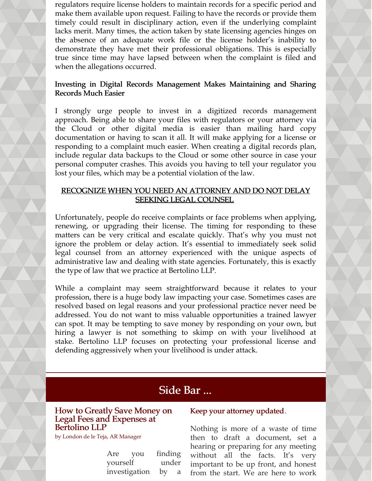regulators require license holders to maintain records for a specific period and make them available upon request. Failing to have the records or provide them timely could result in disciplinary action, even if the underlying complaint lacks merit. Many times, the action taken by state licensing agencies hinges on the absence of an adequate work file or the license holder's inability to demonstrate they have met their professional obligations. This is especially true since time may have lapsed between when the complaint is filed and when the allegations occurred.

#### Investing in Digital Records Management Makes Maintaining and Sharing Records Much Easier

I strongly urge people to invest in a digitized records management approach. Being able to share your files with regulators or your attorney via the Cloud or other digital media is easier than mailing hard copy documentation or having to scan it all. It will make applying for a license or responding to a complaint much easier. When creating a digital records plan, include regular data backups to the Cloud or some other source in case your personal computer crashes. This avoids you having to tell your regulator you lost your files, which may be a potential violation of the law.

#### RECOGNIZE WHEN YOU NEED AN ATTORNEY AND DO NOT DELAY SEEKING LEGAL COUNSEL

Unfortunately, people do receive complaints or face problems when applying, renewing, or upgrading their license. The timing for responding to these matters can be very critical and escalate quickly. That's why you must not ignore the problem or delay action. It's essential to immediately seek solid legal counsel from an attorney experienced with the unique aspects of administrative law and dealing with state agencies. Fortunately, this is exactly the type of law that we practice at Bertolino LLP.

While a complaint may seem straightforward because it relates to your profession, there is a huge body law impacting your case. Sometimes cases are resolved based on legal reasons and your professional practice never need be addressed. You do not want to miss valuable opportunities a trained lawyer can spot. It may be tempting to save money by responding on your own, but hiring a lawyer is not something to skimp on with your livelihood at stake. Bertolino LLP focuses on protecting your professional license and defending aggressively when your livelihood is under attack.

## Side Bar ...

#### How to Greatly Save Money on Legal Fees and Expenses at Bertolino LLP

by London de le Teja, AR Manager

| Are           | you | finding |   |
|---------------|-----|---------|---|
| yourself      |     | under   |   |
| investigation |     | by      | a |

#### Keep your attorney updated.

Nothing is more of a waste of time then to draft a document, set a hearing or preparing for any meeting without all the facts. It's very important to be up front, and honest from the start. We are here to work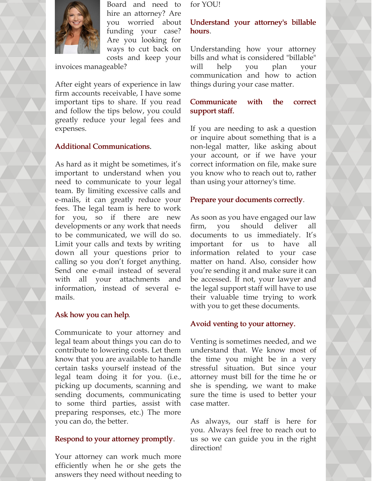

Board and need to hire an attorney? Are you worried about funding your case? Are you looking for ways to cut back on costs and keep your

invoices manageable?

After eight years of experience in law firm accounts receivable, I have some important tips to share. If you read and follow the tips below, you could greatly reduce your legal fees and expenses.

#### Additional Communications.

As hard as it might be sometimes, it's important to understand when you need to communicate to your legal team. By limiting excessive calls and e-mails, it can greatly reduce your fees. The legal team is here to work for you, so if there are new developments or any work that needs to be communicated, we will do so. Limit your calls and texts by writing down all your questions prior to calling so you don't forget anything. Send one e-mail instead of several with all your attachments and information, instead of several emails.

#### Ask how you can help.

Communicate to your attorney and legal team about things you can do to contribute to lowering costs. Let them know that you are available to handle certain tasks yourself instead of the legal team doing it for you. (i.e., picking up documents, scanning and sending documents, communicating to some third parties, assist with preparing responses, etc.) The more you can do, the better.

#### Respond to your attorney promptly.

Your attorney can work much more efficiently when he or she gets the answers they need without needing to for YOU!

#### Understand your attorney's billable hours.

Understanding how your attorney bills and what is considered "billable" will help you plan your communication and how to action things during your case matter.

#### Communicate with the correct support staff.

If you are needing to ask a question or inquire about something that is a non-legal matter, like asking about your account, or if we have your correct information on file, make sure you know who to reach out to, rather than using your attorney's time.

#### Prepare your documents correctly.

As soon as you have engaged our law firm, you should deliver all documents to us immediately. It's important for us to have all information related to your case matter on hand. Also, consider how you're sending it and make sure it can be accessed. If not, your lawyer and the legal support staff will have to use their valuable time trying to work with you to get these documents.

#### Avoid venting to your attorney.

Venting is sometimes needed, and we understand that. We know most of the time you might be in a very stressful situation. But since your attorney must bill for the time he or she is spending, we want to make sure the time is used to better your case matter.

As always, our staff is here for you. Always feel free to reach out to us so we can guide you in the right direction!